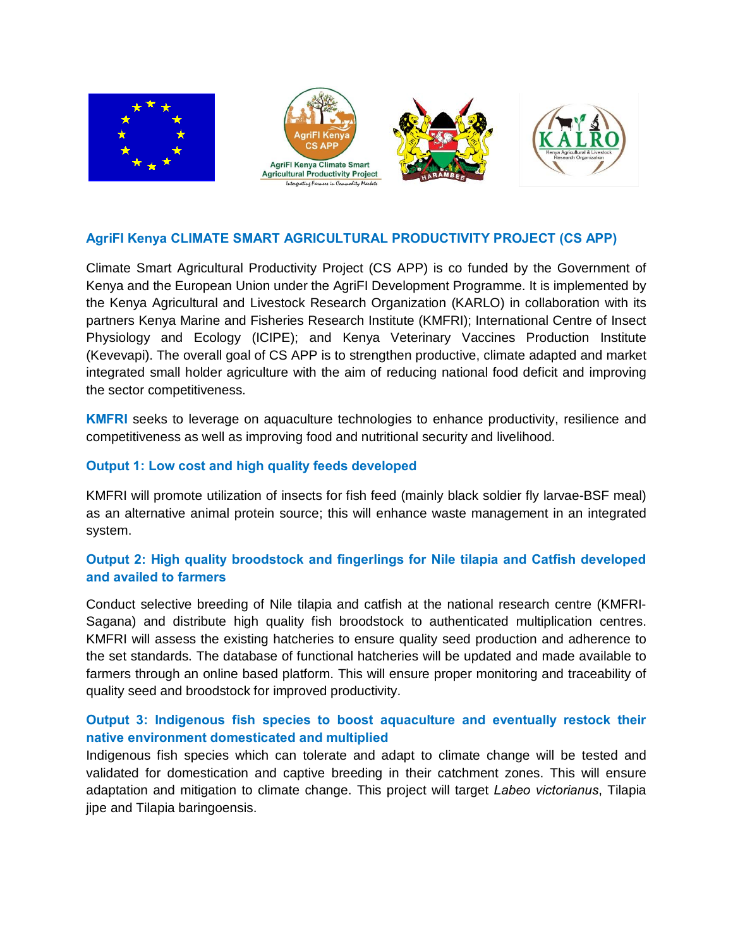

### **AgriFI Kenya CLIMATE SMART AGRICULTURAL PRODUCTIVITY PROJECT (CS APP)**

Climate Smart Agricultural Productivity Project (CS APP) is co funded by the Government of Kenya and the European Union under the AgriFI Development Programme. It is implemented by the Kenya Agricultural and Livestock Research Organization (KARLO) in collaboration with its partners Kenya Marine and Fisheries Research Institute (KMFRI); International Centre of Insect Physiology and Ecology (ICIPE); and Kenya Veterinary Vaccines Production Institute (Kevevapi). The overall goal of CS APP is to strengthen productive, climate adapted and market integrated small holder agriculture with the aim of reducing national food deficit and improving the sector competitiveness.

**KMFRI** seeks to leverage on aquaculture technologies to enhance productivity, resilience and competitiveness as well as improving food and nutritional security and livelihood.

#### **Output 1: Low cost and high quality feeds developed**

KMFRI will promote utilization of insects for fish feed (mainly black soldier fly larvae-BSF meal) as an alternative animal protein source; this will enhance waste management in an integrated system.

# **Output 2: High quality broodstock and fingerlings for Nile tilapia and Catfish developed and availed to farmers**

Conduct selective breeding of Nile tilapia and catfish at the national research centre (KMFRI-Sagana) and distribute high quality fish broodstock to authenticated multiplication centres. KMFRI will assess the existing hatcheries to ensure quality seed production and adherence to the set standards. The database of functional hatcheries will be updated and made available to farmers through an online based platform. This will ensure proper monitoring and traceability of quality seed and broodstock for improved productivity.

# **Output 3: Indigenous fish species to boost aquaculture and eventually restock their native environment domesticated and multiplied**

Indigenous fish species which can tolerate and adapt to climate change will be tested and validated for domestication and captive breeding in their catchment zones. This will ensure adaptation and mitigation to climate change. This project will target *Labeo victorianus*, Tilapia jipe and Tilapia baringoensis.